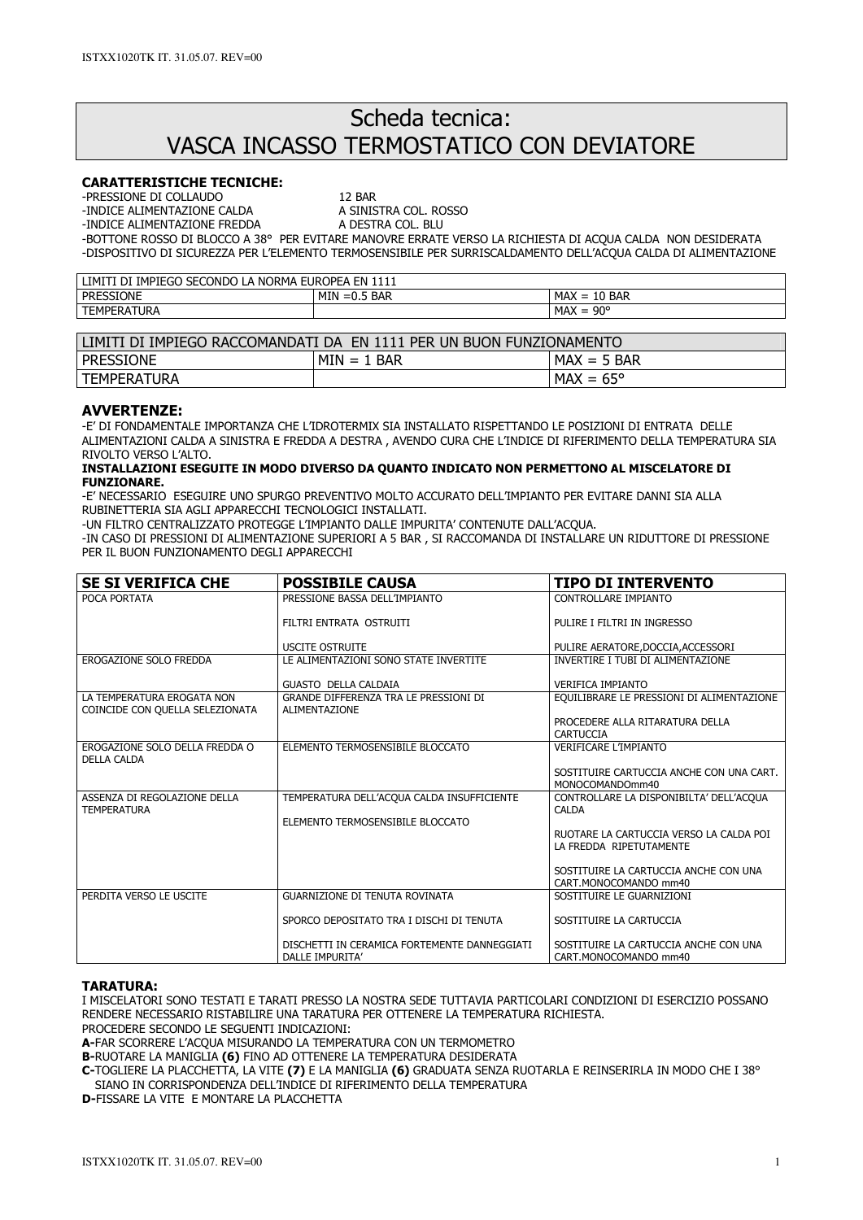# Scheda tecnica: VASCA INCASSO TERMOSTATICO CON DEVIATORE

## CARATTERISTICHE TECNICHE:

-PRESSIONE DI COLLAUDO 12 BAR

-INDICE ALIMENTAZIONE CALDA A SINISTRA COL. ROSSO

-INDICE ALIMENTAZIONE FREDDA

-BOTTONE ROSSO DI BLOCCO A 38° PER EVITARE MANOVRE ERRATE VERSO LA RICHIESTA DI ACQUA CALDA NON DESIDERATA -DISPOSITIVO DI SICUREZZA PER L'ELEMENTO TERMOSENSIBILE PER SURRISCALDAMENTO DELL'ACQUA CALDA DI ALIMENTAZIONE

| <b>NORMA</b><br>IMPIEGO<br>_CONDO L<br>SE(<br>EN<br>' IMITI<br>DI<br>1111<br><b>EUROPEA</b><br><br>-- |                                   |                                                         |  |
|-------------------------------------------------------------------------------------------------------|-----------------------------------|---------------------------------------------------------|--|
| <b>PRESSIONE</b>                                                                                      | MIN<br>.5 Bar<br>$\sim$<br>™ =0.5 | <b>MAX</b><br><b>10 BAR</b><br>$\overline{\phantom{0}}$ |  |
| TEMPERATURA                                                                                           |                                   | ∩∩°<br><b>MAX</b><br>$\overline{\phantom{0}}$<br>. טכ   |  |

| LIMITI DI IMPIEGO RACCOMANDATI DA  EN 1111 PER UN BUON FUNZIONAMENTO |               |                    |  |  |
|----------------------------------------------------------------------|---------------|--------------------|--|--|
| <b>PRESSIONE</b>                                                     | $MIN = 1$ BAR | $MAX = 5$ BAR      |  |  |
| TEMPERATURA                                                          |               | $MAX = 65^{\circ}$ |  |  |

### AVVERTENZE:

-E' DI FONDAMENTALE IMPORTANZA CHE L'IDROTERMIX SIA INSTALLATO RISPETTANDO LE POSIZIONI DI ENTRATA DELLE ALIMENTAZIONI CALDA A SINISTRA E FREDDA A DESTRA , AVENDO CURA CHE L'INDICE DI RIFERIMENTO DELLA TEMPERATURA SIA RIVOLTO VERSO L'ALTO.

#### INSTALLAZIONI ESEGUITE IN MODO DIVERSO DA QUANTO INDICATO NON PERMETTONO AL MISCELATORE DI FUNZIONARE.

-E' NECESSARIO ESEGUIRE UNO SPURGO PREVENTIVO MOLTO ACCURATO DELL'IMPIANTO PER EVITARE DANNI SIA ALLA RUBINETTERIA SIA AGLI APPARECCHI TECNOLOGICI INSTALLATI.

-UN FILTRO CENTRALIZZATO PROTEGGE L'IMPIANTO DALLE IMPURITA' CONTENUTE DALL'ACQUA.

-IN CASO DI PRESSIONI DI ALIMENTAZIONE SUPERIORI A 5 BAR , SI RACCOMANDA DI INSTALLARE UN RIDUTTORE DI PRESSIONE PER IL BUON FUNZIONAMENTO DEGLI APPARECCHI

| <b>SE SI VERIFICA CHE</b>                                     | <b>POSSIBILE CAUSA</b>                                          | <b>TIPO DI INTERVENTO</b>                                          |
|---------------------------------------------------------------|-----------------------------------------------------------------|--------------------------------------------------------------------|
| POCA PORTATA                                                  | PRESSIONE BASSA DELL'IMPIANTO                                   | CONTROLLARE IMPIANTO                                               |
|                                                               | FILTRI ENTRATA OSTRUITI                                         | PULIRE I FILTRI IN INGRESSO                                        |
|                                                               | <b>USCITE OSTRUITE</b>                                          | PULIRE AERATORE, DOCCIA, ACCESSORI                                 |
| EROGAZIONE SOLO FREDDA                                        | LE ALIMENTAZIONI SONO STATE INVERTITE                           | INVERTIRE I TUBI DI ALIMENTAZIONE                                  |
|                                                               | <b>GUASTO DELLA CALDAIA</b>                                     | <b>VERIFICA IMPIANTO</b>                                           |
| LA TEMPERATURA EROGATA NON<br>COINCIDE CON QUELLA SELEZIONATA | GRANDE DIFFERENZA TRA LE PRESSIONI DI<br>ALIMENTAZIONE          | EQUILIBRARE LE PRESSIONI DI ALIMENTAZIONE                          |
|                                                               |                                                                 | PROCEDERE ALLA RITARATURA DELLA<br><b>CARTUCCIA</b>                |
| EROGAZIONE SOLO DELLA FREDDA O<br><b>DELLA CALDA</b>          | ELEMENTO TERMOSENSIBILE BLOCCATO                                | <b>VERIFICARE L'IMPIANTO</b>                                       |
|                                                               |                                                                 | SOSTITUIRE CARTUCCIA ANCHE CON UNA CART.<br>MONOCOMANDOmm40        |
| ASSENZA DI REGOLAZIONE DELLA<br><b>TEMPERATURA</b>            | TEMPERATURA DELL'ACOUA CALDA INSUFFICIENTE                      | CONTROLLARE LA DISPONIBILTA' DELL'ACQUA<br><b>CALDA</b>            |
|                                                               | ELEMENTO TERMOSENSIBILE BLOCCATO                                |                                                                    |
|                                                               |                                                                 | RUOTARE LA CARTUCCIA VERSO LA CALDA POI<br>LA FREDDA RIPETUTAMENTE |
|                                                               |                                                                 | SOSTITUIRE LA CARTUCCIA ANCHE CON UNA<br>CART.MONOCOMANDO mm40     |
| PERDITA VERSO LE USCITE                                       | <b>GUARNIZIONE DI TENUTA ROVINATA</b>                           | SOSTITUIRE LE GUARNIZIONI                                          |
|                                                               | SPORCO DEPOSITATO TRA I DISCHI DI TENUTA                        | SOSTITUIRE LA CARTUCCIA                                            |
|                                                               | DISCHETTI IN CERAMICA FORTEMENTE DANNEGGIATI<br>DALLE IMPURITA' | SOSTITUIRE LA CARTUCCIA ANCHE CON UNA<br>CART.MONOCOMANDO mm40     |

#### TARATURA:

I MISCELATORI SONO TESTATI E TARATI PRESSO LA NOSTRA SEDE TUTTAVIA PARTICOLARI CONDIZIONI DI ESERCIZIO POSSANO RENDERE NECESSARIO RISTABILIRE UNA TARATURA PER OTTENERE LA TEMPERATURA RICHIESTA.

PROCEDERE SECONDO LE SEGUENTI INDICAZIONI:

A-FAR SCORRERE L'ACQUA MISURANDO LA TEMPERATURA CON UN TERMOMETRO

B-RUOTARE LA MANIGLIA (6) FINO AD OTTENERE LA TEMPERATURA DESIDERATA

C-TOGLIERE LA PLACCHETTA, LA VITE (7) E LA MANIGLIA (6) GRADUATA SENZA RUOTARLA E REINSERIRLA IN MODO CHE I 38° SIANO IN CORRISPONDENZA DELL'INDICE DI RIFERIMENTO DELLA TEMPERATURA

D-FISSARE LA VITE E MONTARE LA PLACCHETTA